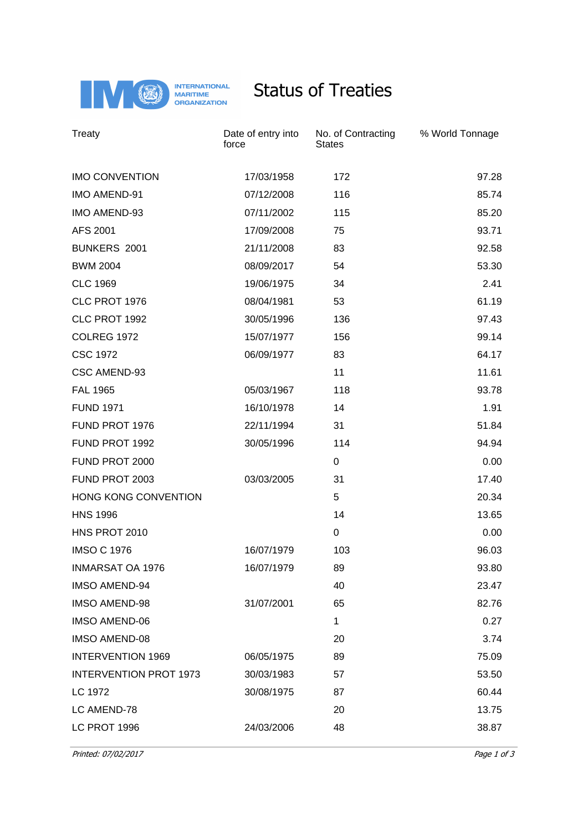

## Status of Treaties

| Treaty                        | Date of entry into<br>force | No. of Contracting<br><b>States</b> | % World Tonnage |
|-------------------------------|-----------------------------|-------------------------------------|-----------------|
| <b>IMO CONVENTION</b>         | 17/03/1958                  | 172                                 | 97.28           |
| <b>IMO AMEND-91</b>           | 07/12/2008                  | 116                                 | 85.74           |
| IMO AMEND-93                  | 07/11/2002                  | 115                                 | 85.20           |
| AFS 2001                      | 17/09/2008                  | 75                                  | 93.71           |
| <b>BUNKERS 2001</b>           | 21/11/2008                  | 83                                  | 92.58           |
| <b>BWM 2004</b>               | 08/09/2017                  | 54                                  | 53.30           |
| <b>CLC 1969</b>               | 19/06/1975                  | 34                                  | 2.41            |
| CLC PROT 1976                 | 08/04/1981                  | 53                                  | 61.19           |
| CLC PROT 1992                 | 30/05/1996                  | 136                                 | 97.43           |
| <b>COLREG 1972</b>            | 15/07/1977                  | 156                                 | 99.14           |
| <b>CSC 1972</b>               | 06/09/1977                  | 83                                  | 64.17           |
| CSC AMEND-93                  |                             | 11                                  | 11.61           |
| <b>FAL 1965</b>               | 05/03/1967                  | 118                                 | 93.78           |
| <b>FUND 1971</b>              | 16/10/1978                  | 14                                  | 1.91            |
| FUND PROT 1976                | 22/11/1994                  | 31                                  | 51.84           |
| FUND PROT 1992                | 30/05/1996                  | 114                                 | 94.94           |
| FUND PROT 2000                |                             | 0                                   | 0.00            |
| FUND PROT 2003                | 03/03/2005                  | 31                                  | 17.40           |
| HONG KONG CONVENTION          |                             | 5                                   | 20.34           |
| <b>HNS 1996</b>               |                             | 14                                  | 13.65           |
| HNS PROT 2010                 |                             | $\pmb{0}$                           | 0.00            |
| <b>IMSO C 1976</b>            | 16/07/1979                  | 103                                 | 96.03           |
| <b>INMARSAT OA 1976</b>       | 16/07/1979                  | 89                                  | 93.80           |
| <b>IMSO AMEND-94</b>          |                             | 40                                  | 23.47           |
| <b>IMSO AMEND-98</b>          | 31/07/2001                  | 65                                  | 82.76           |
| <b>IMSO AMEND-06</b>          |                             | 1                                   | 0.27            |
| <b>IMSO AMEND-08</b>          |                             | 20                                  | 3.74            |
| <b>INTERVENTION 1969</b>      | 06/05/1975                  | 89                                  | 75.09           |
| <b>INTERVENTION PROT 1973</b> | 30/03/1983                  | 57                                  | 53.50           |
| LC 1972                       | 30/08/1975                  | 87                                  | 60.44           |
| LC AMEND-78                   |                             | 20                                  | 13.75           |
| LC PROT 1996                  | 24/03/2006                  | 48                                  | 38.87           |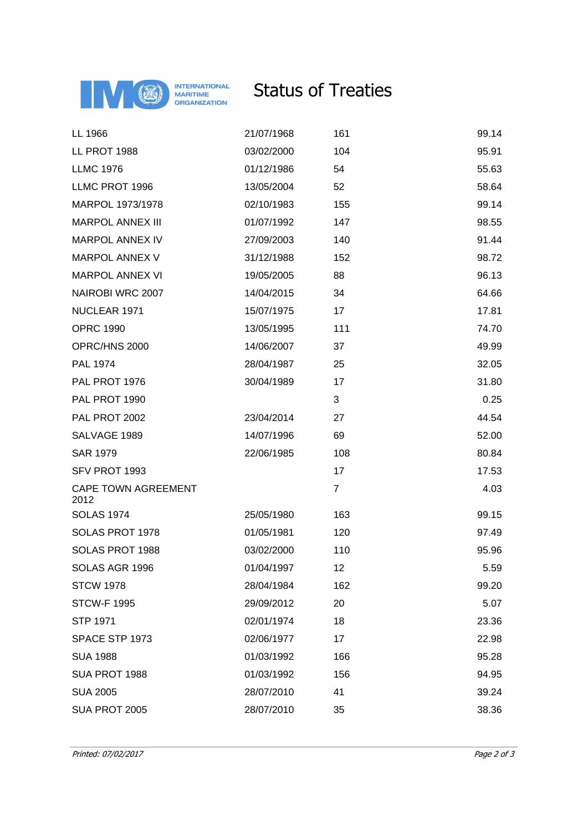

## Status of Treaties

| LL 1966                            | 21/07/1968 | 161            | 99.14 |
|------------------------------------|------------|----------------|-------|
| LL PROT 1988                       | 03/02/2000 | 104            | 95.91 |
| <b>LLMC 1976</b>                   | 01/12/1986 | 54             | 55.63 |
| LLMC PROT 1996                     | 13/05/2004 | 52             | 58.64 |
| MARPOL 1973/1978                   | 02/10/1983 | 155            | 99.14 |
| <b>MARPOL ANNEX III</b>            | 01/07/1992 | 147            | 98.55 |
| <b>MARPOL ANNEX IV</b>             | 27/09/2003 | 140            | 91.44 |
| <b>MARPOL ANNEX V</b>              | 31/12/1988 | 152            | 98.72 |
| <b>MARPOL ANNEX VI</b>             | 19/05/2005 | 88             | 96.13 |
| NAIROBI WRC 2007                   | 14/04/2015 | 34             | 64.66 |
| NUCLEAR 1971                       | 15/07/1975 | 17             | 17.81 |
| <b>OPRC 1990</b>                   | 13/05/1995 | 111            | 74.70 |
| OPRC/HNS 2000                      | 14/06/2007 | 37             | 49.99 |
| PAL 1974                           | 28/04/1987 | 25             | 32.05 |
| PAL PROT 1976                      | 30/04/1989 | 17             | 31.80 |
| PAL PROT 1990                      |            | 3              | 0.25  |
| PAL PROT 2002                      | 23/04/2014 | 27             | 44.54 |
| SALVAGE 1989                       | 14/07/1996 | 69             | 52.00 |
| <b>SAR 1979</b>                    | 22/06/1985 | 108            | 80.84 |
| SFV PROT 1993                      |            | 17             | 17.53 |
| <b>CAPE TOWN AGREEMENT</b><br>2012 |            | $\overline{7}$ | 4.03  |
| <b>SOLAS 1974</b>                  | 25/05/1980 | 163            | 99.15 |
| SOLAS PROT 1978                    | 01/05/1981 | 120            | 97.49 |
| SOLAS PROT 1988                    | 03/02/2000 | 110            | 95.96 |
| SOLAS AGR 1996                     | 01/04/1997 | 12             | 5.59  |
| <b>STCW 1978</b>                   | 28/04/1984 | 162            | 99.20 |
| <b>STCW-F 1995</b>                 | 29/09/2012 | 20             | 5.07  |
| <b>STP 1971</b>                    | 02/01/1974 | 18             | 23.36 |
| SPACE STP 1973                     | 02/06/1977 | 17             | 22.98 |
| <b>SUA 1988</b>                    | 01/03/1992 | 166            | 95.28 |
| SUA PROT 1988                      | 01/03/1992 | 156            | 94.95 |
| <b>SUA 2005</b>                    | 28/07/2010 | 41             | 39.24 |
| SUA PROT 2005                      | 28/07/2010 | 35             | 38.36 |